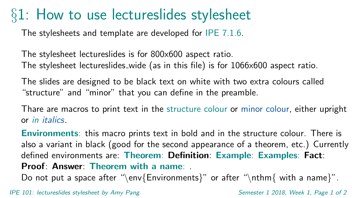## §1: How to use lectureslides stylesheet

The stylesheets and template are developed for IPE 7.1.6.

The stylesheet lectureslides is for 800x600 aspect ratio. The stylesheet lectureslides wide (as in this file) is for 1066x600 aspect ratio.

The slides are designed to be black text on white with two extra colours called "structure" and "minor" that you can define in the preamble.

Thare are macros to print text in the structure colour or minor colour, either upright or in italics.

Environments: this macro prints text in bold and in the structure colour. There is also a variant in black (good for the second appearance of a theorem, etc.) Currently defined environments are: Theorem: Definition: Example: Examples: Fact: Proof: Answer: Theorem with a name: .

Do not put a space after "\env{Environments}" or after "\nthm{ with a name}".

IPE 101: lectureslides stylesheet by Amy Pang Semester 1 2018, Week 1, Page 1 of 2